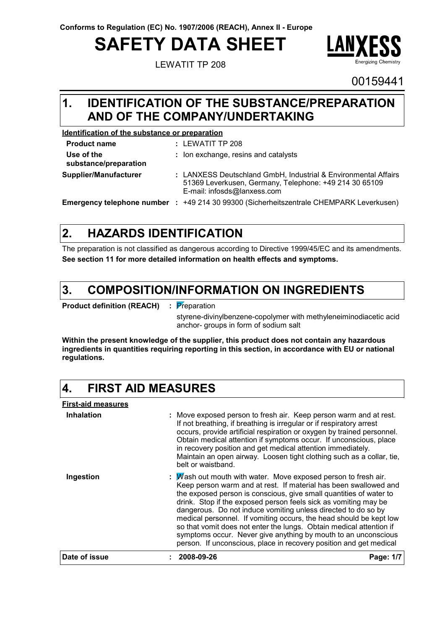# **SAFETY DATA SHEET**

LEWATIT TP 208



00159441

### **IDENTIFICATION OF THE SUBSTANCE/PREPARATION 1. AND OF THE COMPANY/UNDERTAKING**

### **Identification of the substance or preparation**

| <b>Product name</b>                 | $:$ LEWATIT TP 208                                                                                                                                      |
|-------------------------------------|---------------------------------------------------------------------------------------------------------------------------------------------------------|
| Use of the<br>substance/preparation | : Ion exchange, resins and catalysts                                                                                                                    |
| Supplier/Manufacturer               | : LANXESS Deutschland GmbH, Industrial & Environmental Affairs<br>51369 Leverkusen, Germany, Telephone: +49 214 30 65109<br>E-mail: infosds@lanxess.com |
| Emergency telephone number :        | +49 214 30 99300 (Sicherheitszentrale CHEMPARK Leverkusen)                                                                                              |

#### **HAZARDS IDENTIFICATION 2.**

The preparation is not classified as dangerous according to Directive 1999/45/EC and its amendments. **See section 11 for more detailed information on health effects and symptoms.**

#### **COMPOSITION/INFORMATION ON INGREDIENTS 3.**

**Product definition (REACH) :** Preparation

styrene-divinylbenzene-copolymer with methyleneiminodiacetic acid anchor- groups in form of sodium salt

**Within the present knowledge of the supplier, this product does not contain any hazardous ingredients in quantities requiring reporting in this section, in accordance with EU or national regulations.**

#### **4. FIRST AID MEASURES**

**First-aid measures Ingestion Inhalation : :** Wash out mouth with water. Move exposed person to fresh air. Move exposed person to fresh air. Keep person warm and at rest. If not breathing, if breathing is irregular or if respiratory arrest occurs, provide artificial respiration or oxygen by trained personnel. Obtain medical attention if symptoms occur. If unconscious, place in recovery position and get medical attention immediately. Maintain an open airway. Loosen tight clothing such as a collar, tie, belt or waistband. Keep person warm and at rest. If material has been swallowed and the exposed person is conscious, give small quantities of water to drink. Stop if the exposed person feels sick as vomiting may be dangerous. Do not induce vomiting unless directed to do so by medical personnel. If vomiting occurs, the head should be kept low so that vomit does not enter the lungs. Obtain medical attention if symptoms occur. Never give anything by mouth to an unconscious person. If unconscious, place in recovery position and get medical **Date of issue : 2008-09-26 Page: 1/7**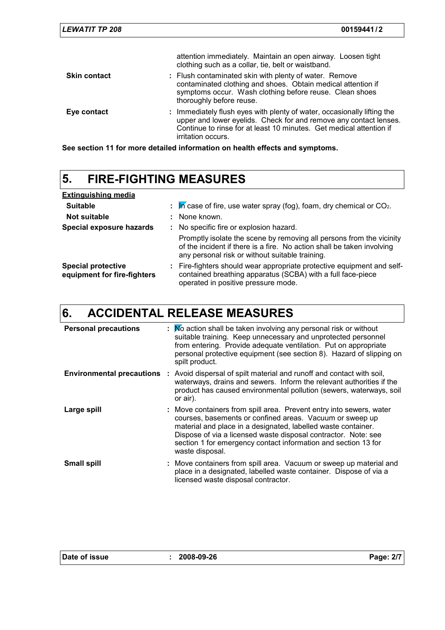Continue to rinse for at least 10 minutes. Get medical attention if

**See section 11 for more detailed information on health effects and symptoms.** irritation occurs.

### **5. FIRE-FIGHTING MEASURES**

| <b>Extinguishing media</b>                               |    |                                                                                                                                                                                                   |
|----------------------------------------------------------|----|---------------------------------------------------------------------------------------------------------------------------------------------------------------------------------------------------|
| <b>Suitable</b>                                          | ÷. | $\overline{M}$ case of fire, use water spray (fog), foam, dry chemical or CO <sub>2</sub> .                                                                                                       |
| Not suitable                                             |    | : None known.                                                                                                                                                                                     |
| Special exposure hazards                                 |    | : No specific fire or explosion hazard.                                                                                                                                                           |
|                                                          |    | Promptly isolate the scene by removing all persons from the vicinity<br>of the incident if there is a fire. No action shall be taken involving<br>any personal risk or without suitable training. |
| <b>Special protective</b><br>equipment for fire-fighters |    | : Fire-fighters should wear appropriate protective equipment and self-<br>contained breathing apparatus (SCBA) with a full face-piece<br>operated in positive pressure mode.                      |

### **6. ACCIDENTAL RELEASE MEASURES**

| <b>Personal precautions</b> | : Mo action shall be taken involving any personal risk or without<br>suitable training. Keep unnecessary and unprotected personnel<br>from entering. Provide adequate ventilation. Put on appropriate<br>personal protective equipment (see section 8). Hazard of slipping on<br>spilt product.                                                         |
|-----------------------------|---------------------------------------------------------------------------------------------------------------------------------------------------------------------------------------------------------------------------------------------------------------------------------------------------------------------------------------------------------|
|                             | <b>Environmental precautions</b> : Avoid dispersal of spilt material and runoff and contact with soil,<br>waterways, drains and sewers. Inform the relevant authorities if the<br>product has caused environmental pollution (sewers, waterways, soil<br>or air).                                                                                       |
| Large spill                 | : Move containers from spill area. Prevent entry into sewers, water<br>courses, basements or confined areas. Vacuum or sweep up<br>material and place in a designated, labelled waste container.<br>Dispose of via a licensed waste disposal contractor. Note: see<br>section 1 for emergency contact information and section 13 for<br>waste disposal. |
| <b>Small spill</b>          | : Move containers from spill area. Vacuum or sweep up material and<br>place in a designated, labelled waste container. Dispose of via a<br>licensed waste disposal contractor.                                                                                                                                                                          |

|  |  | Date of issue |
|--|--|---------------|
|--|--|---------------|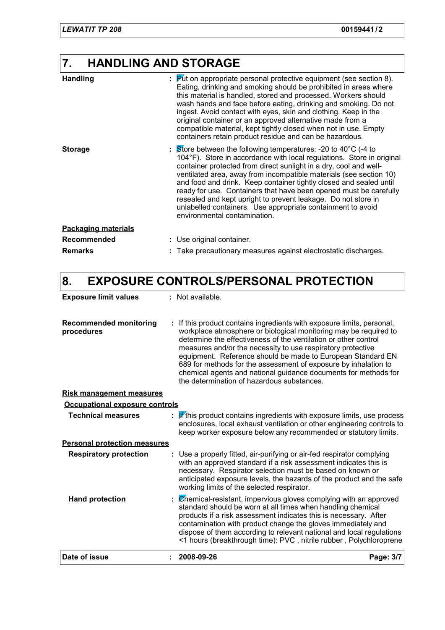# **7. HANDLING AND STORAGE**

| <b>Handling</b>            | $\frac{1}{2}$ $\frac{1}{2}$ Put on appropriate personal protective equipment (see section 8).<br>Eating, drinking and smoking should be prohibited in areas where<br>this material is handled, stored and processed. Workers should<br>wash hands and face before eating, drinking and smoking. Do not<br>ingest. Avoid contact with eyes, skin and clothing. Keep in the<br>original container or an approved alternative made from a<br>compatible material, kept tightly closed when not in use. Empty<br>containers retain product residue and can be hazardous.                                                |
|----------------------------|---------------------------------------------------------------------------------------------------------------------------------------------------------------------------------------------------------------------------------------------------------------------------------------------------------------------------------------------------------------------------------------------------------------------------------------------------------------------------------------------------------------------------------------------------------------------------------------------------------------------|
| <b>Storage</b>             | $\therefore$ Store between the following temperatures: -20 to 40 $^{\circ}$ C (-4 to<br>104°F). Store in accordance with local regulations. Store in original<br>container protected from direct sunlight in a dry, cool and well-<br>ventilated area, away from incompatible materials (see section 10)<br>and food and drink. Keep container tightly closed and sealed until<br>ready for use. Containers that have been opened must be carefully<br>resealed and kept upright to prevent leakage. Do not store in<br>unlabelled containers. Use appropriate containment to avoid<br>environmental contamination. |
| <b>Packaging materials</b> |                                                                                                                                                                                                                                                                                                                                                                                                                                                                                                                                                                                                                     |
| <b>Recommended</b>         | : Use original container.                                                                                                                                                                                                                                                                                                                                                                                                                                                                                                                                                                                           |
| <b>Remarks</b>             | Take precautionary measures against electrostatic discharges.                                                                                                                                                                                                                                                                                                                                                                                                                                                                                                                                                       |

### **8. EXPOSURE CONTROLS/PERSONAL PROTECTION**

| <b>Exposure limit values</b>                | : Not available.                                                                                                                                                                                                                                                                                                                                                                                                                                                                                                                |           |
|---------------------------------------------|---------------------------------------------------------------------------------------------------------------------------------------------------------------------------------------------------------------------------------------------------------------------------------------------------------------------------------------------------------------------------------------------------------------------------------------------------------------------------------------------------------------------------------|-----------|
| <b>Recommended monitoring</b><br>procedures | : If this product contains ingredients with exposure limits, personal,<br>workplace atmosphere or biological monitoring may be required to<br>determine the effectiveness of the ventilation or other control<br>measures and/or the necessity to use respiratory protective<br>equipment. Reference should be made to European Standard EN<br>689 for methods for the assessment of exposure by inhalation to<br>chemical agents and national guidance documents for methods for<br>the determination of hazardous substances. |           |
| <b>Risk management measures</b>             |                                                                                                                                                                                                                                                                                                                                                                                                                                                                                                                                 |           |
| Occupational exposure controls              |                                                                                                                                                                                                                                                                                                                                                                                                                                                                                                                                 |           |
| <b>Technical measures</b>                   | $\mathbf{F}$ this product contains ingredients with exposure limits, use process<br>enclosures, local exhaust ventilation or other engineering controls to<br>keep worker exposure below any recommended or statutory limits.                                                                                                                                                                                                                                                                                                   |           |
| <b>Personal protection measures</b>         |                                                                                                                                                                                                                                                                                                                                                                                                                                                                                                                                 |           |
| <b>Respiratory protection</b>               | Use a properly fitted, air-purifying or air-fed respirator complying<br>with an approved standard if a risk assessment indicates this is<br>necessary. Respirator selection must be based on known or<br>anticipated exposure levels, the hazards of the product and the safe<br>working limits of the selected respirator.                                                                                                                                                                                                     |           |
| <b>Hand protection</b>                      | : Chemical-resistant, impervious gloves complying with an approved<br>standard should be worn at all times when handling chemical<br>products if a risk assessment indicates this is necessary. After<br>contamination with product change the gloves immediately and<br>dispose of them according to relevant national and local regulations<br><1 hours (breakthrough time): PVC, nitrile rubber, Polychloroprene                                                                                                             |           |
| Date of issue                               | 2008-09-26                                                                                                                                                                                                                                                                                                                                                                                                                                                                                                                      | Page: 3/7 |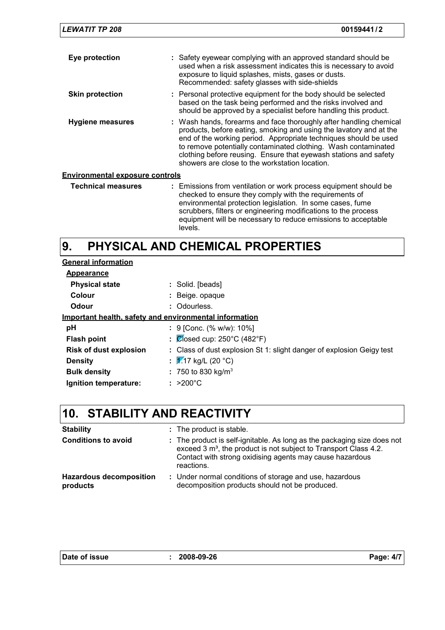| <b>LEWATIT TP 208</b>                  | 00159441/2                                                                                                                                                                                                                                                                                                                                                                                           |
|----------------------------------------|------------------------------------------------------------------------------------------------------------------------------------------------------------------------------------------------------------------------------------------------------------------------------------------------------------------------------------------------------------------------------------------------------|
| Eye protection                         | : Safety eyewear complying with an approved standard should be<br>used when a risk assessment indicates this is necessary to avoid<br>exposure to liquid splashes, mists, gases or dusts.<br>Recommended: safety glasses with side-shields                                                                                                                                                           |
| <b>Skin protection</b>                 | : Personal protective equipment for the body should be selected<br>based on the task being performed and the risks involved and<br>should be approved by a specialist before handling this product.                                                                                                                                                                                                  |
| Hygiene measures                       | : Wash hands, forearms and face thoroughly after handling chemical<br>products, before eating, smoking and using the lavatory and at the<br>end of the working period. Appropriate techniques should be used<br>to remove potentially contaminated clothing. Wash contaminated<br>clothing before reusing. Ensure that eyewash stations and safety<br>showers are close to the workstation location. |
| <b>Environmental exposure controls</b> |                                                                                                                                                                                                                                                                                                                                                                                                      |
| <b>Technical measures</b>              | : Emissions from ventilation or work process equipment should be<br>checked to ensure they comply with the requirements of<br>environmental protection legislation. In some cases, fume<br>scrubbers, filters or engineering modifications to the process<br>equipment will be necessary to reduce emissions to acceptable                                                                           |

#### **PHYSICAL AND CHEMICAL PROPERTIES 9.**

levels.

| <b>General information</b>                             |                                                                       |  |  |
|--------------------------------------------------------|-----------------------------------------------------------------------|--|--|
| Appearance                                             |                                                                       |  |  |
| <b>Physical state</b>                                  | : Solid. [beads]                                                      |  |  |
| Colour                                                 | : Beige opaque                                                        |  |  |
| Odour                                                  | : Odourless.                                                          |  |  |
| Important health, safety and environmental information |                                                                       |  |  |
| рH                                                     | : 9 [Conc. (% w/w): 10%]                                              |  |  |
| <b>Flash point</b>                                     | : $\cancel{\text{C}}$ (osed cup: 250°C (482°F)                        |  |  |
| <b>Risk of dust explosion</b>                          | : Class of dust explosion St 1: slight danger of explosion Geigy test |  |  |
| <b>Density</b>                                         | : $\sqrt{2}$ 17 kg/L (20 °C)                                          |  |  |
| <b>Bulk density</b>                                    | : 750 to 830 kg/m <sup>3</sup>                                        |  |  |
| Ignition temperature:                                  | $: >200^{\circ}$ C                                                    |  |  |

# **10. STABILITY AND REACTIVITY**

| <b>Stability</b>                           | : The product is stable.                                                                                                                                                                                                          |
|--------------------------------------------|-----------------------------------------------------------------------------------------------------------------------------------------------------------------------------------------------------------------------------------|
| <b>Conditions to avoid</b>                 | : The product is self-ignitable. As long as the packaging size does not<br>exceed 3 m <sup>3</sup> , the product is not subject to Transport Class 4.2.<br>Contact with strong oxidising agents may cause hazardous<br>reactions. |
| <b>Hazardous decomposition</b><br>products | : Under normal conditions of storage and use, hazardous<br>decomposition products should not be produced.                                                                                                                         |

| Date of issue |  |
|---------------|--|
|---------------|--|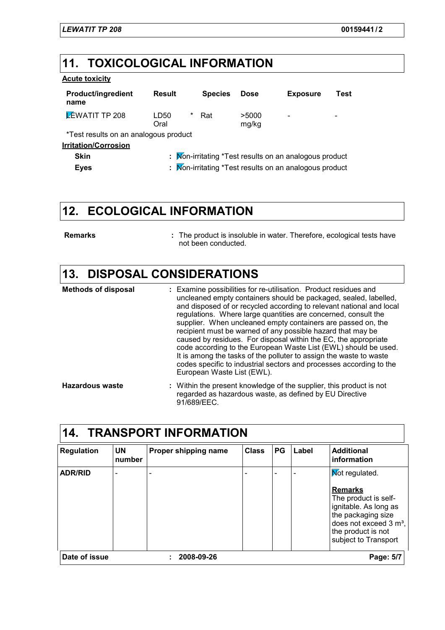## **11. TOXICOLOGICAL INFORMATION**

### **Acute toxicity**

| <b>Product/ingredient</b><br>name     | <b>Result</b>     | <b>Species</b> | <b>Dose</b>    | <b>Exposure</b>                                        | Test |
|---------------------------------------|-------------------|----------------|----------------|--------------------------------------------------------|------|
| <b>ZEWATIT TP 208</b>                 | *<br>LD50<br>Oral | Rat            | >5000<br>mg/kg |                                                        |      |
| *Test results on an analogous product |                   |                |                |                                                        |      |
| <b>Irritation/Corrosion</b>           |                   |                |                |                                                        |      |
| <b>Skin</b>                           |                   |                |                | : Mon-irritating *Test results on an analogous product |      |
| <b>Eyes</b>                           |                   |                |                | : Mon-irritating *Test results on an analogous product |      |

# **12. ECOLOGICAL INFORMATION**

**Remarks :**

The product is insoluble in water. Therefore, ecological tests have not been conducted.

### **13. DISPOSAL CONSIDERATIONS**

| <b>Methods of disposal</b> | : Examine possibilities for re-utilisation. Product residues and<br>uncleaned empty containers should be packaged, sealed, labelled,<br>and disposed of or recycled according to relevant national and local<br>regulations. Where large quantities are concerned, consult the<br>supplier. When uncleaned empty containers are passed on, the<br>recipient must be warned of any possible hazard that may be<br>caused by residues. For disposal within the EC, the appropriate<br>code according to the European Waste List (EWL) should be used.<br>It is among the tasks of the polluter to assign the waste to waste<br>codes specific to industrial sectors and processes according to the<br>European Waste List (EWL). |
|----------------------------|--------------------------------------------------------------------------------------------------------------------------------------------------------------------------------------------------------------------------------------------------------------------------------------------------------------------------------------------------------------------------------------------------------------------------------------------------------------------------------------------------------------------------------------------------------------------------------------------------------------------------------------------------------------------------------------------------------------------------------|
| <b>Hazardous waste</b>     | : Within the present knowledge of the supplier, this product is not<br>regarded as hazardous waste, as defined by EU Directive                                                                                                                                                                                                                                                                                                                                                                                                                                                                                                                                                                                                 |

91/689/EEC.

| <b>Regulation</b> | <b>UN</b><br>number | Proper shipping name | <b>Class</b> | <b>PG</b> | Label | <b>Additional</b><br>information                                                                                                                     |
|-------------------|---------------------|----------------------|--------------|-----------|-------|------------------------------------------------------------------------------------------------------------------------------------------------------|
| <b>ADR/RID</b>    |                     |                      |              |           |       | <b>Not regulated.</b><br><b>Remarks</b><br>The product is self-<br>ignitable. As long as<br>the packaging size<br>does not exceed 3 m <sup>3</sup> , |
|                   |                     |                      |              |           |       | the product is not<br>subject to Transport                                                                                                           |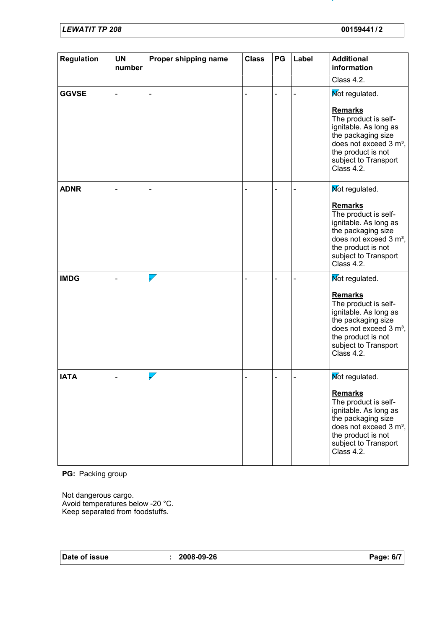*LEWATIT TP 208* **00159441 / 2**

| <b>Regulation</b> | <b>UN</b><br>number | Proper shipping name     | <b>Class</b> | PG | Label | <b>Additional</b><br>information                                                                                                                                                        |
|-------------------|---------------------|--------------------------|--------------|----|-------|-----------------------------------------------------------------------------------------------------------------------------------------------------------------------------------------|
|                   |                     |                          |              |    |       | Class $4.2$ .                                                                                                                                                                           |
| <b>GGVSE</b>      |                     |                          |              |    |       | Mot regulated.                                                                                                                                                                          |
|                   |                     |                          |              |    |       | <b>Remarks</b><br>The product is self-<br>ignitable. As long as<br>the packaging size<br>does not exceed 3 m <sup>3</sup> ,<br>the product is not<br>subject to Transport<br>Class 4.2. |
| <b>ADNR</b>       |                     |                          |              |    |       | Not regulated.                                                                                                                                                                          |
|                   |                     |                          |              |    |       | <b>Remarks</b><br>The product is self-<br>ignitable. As long as<br>the packaging size<br>does not exceed 3 m <sup>3</sup> ,<br>the product is not<br>subject to Transport<br>Class 4.2. |
| <b>IMDG</b>       |                     | $\triangledown$          |              |    |       | Not regulated.                                                                                                                                                                          |
|                   |                     |                          |              |    |       | <b>Remarks</b><br>The product is self-<br>ignitable. As long as<br>the packaging size<br>does not exceed 3 m <sup>3</sup> ,<br>the product is not<br>subject to Transport<br>Class 4.2. |
| <b>IATA</b>       |                     | $\overline{\phantom{0}}$ |              |    |       | Mot regulated.                                                                                                                                                                          |
|                   |                     |                          |              |    |       | <b>Remarks</b><br>The product is self-<br>ignitable. As long as<br>the packaging size<br>does not exceed 3 m <sup>3</sup> ,<br>the product is not<br>subject to Transport<br>Class 4.2. |

**PG:** Packing group

Not dangerous cargo. Avoid temperatures below -20 °C. Keep separated from foodstuffs.

**Date of issue : 2008-09-26 Page: 6/7**